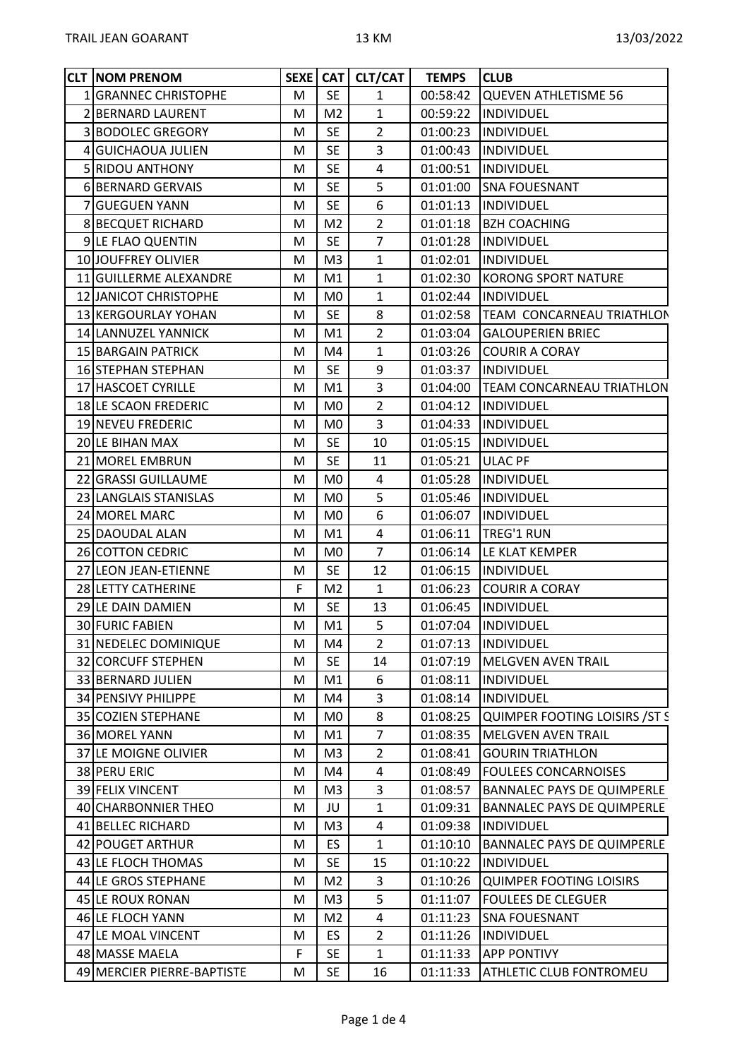| <b>CLT NOM PRENOM</b>      |   |                | SEXE   CAT   CLT/CAT | <b>TEMPS</b> | <b>CLUB</b>                         |
|----------------------------|---|----------------|----------------------|--------------|-------------------------------------|
| 1 GRANNEC CHRISTOPHE       | M | <b>SE</b>      | $\mathbf{1}$         | 00:58:42     | QUEVEN ATHLETISME 56                |
| 2 BERNARD LAURENT          | M | M <sub>2</sub> | $\mathbf{1}$         | 00:59:22     | <b>INDIVIDUEL</b>                   |
| 3 BODOLEC GREGORY          | M | <b>SE</b>      | $\overline{2}$       | 01:00:23     | <b>INDIVIDUEL</b>                   |
| 4 GUICHAOUA JULIEN         | M | <b>SE</b>      | $\overline{3}$       | 01:00:43     | INDIVIDUEL                          |
| 5 RIDOU ANTHONY            | М | <b>SE</b>      | 4                    | 01:00:51     | <b>INDIVIDUEL</b>                   |
| 6 BERNARD GERVAIS          | M | <b>SE</b>      | 5                    | 01:01:00     | <b>SNA FOUESNANT</b>                |
| 7 GUEGUEN YANN             | M | <b>SE</b>      | 6                    | 01:01:13     | INDIVIDUEL                          |
| <b>8 BECQUET RICHARD</b>   | M | M <sub>2</sub> | $\overline{2}$       |              | 01:01:18   BZH COACHING             |
| 9 LE FLAO QUENTIN          | M | <b>SE</b>      | $\overline{7}$       | 01:01:28     | INDIVIDUEL                          |
| 10 JOUFFREY OLIVIER        | М | M <sub>3</sub> | $\mathbf{1}$         | 01:02:01     | <b>INDIVIDUEL</b>                   |
| 11 GUILLERME ALEXANDRE     | M | M1             | $\mathbf{1}$         | 01:02:30     | KORONG SPORT NATURE                 |
| 12 JANICOT CHRISTOPHE      | M | M0             | $\mathbf{1}$         | 01:02:44     | INDIVIDUEL                          |
| 13 KERGOURLAY YOHAN        | M | <b>SE</b>      | 8                    |              | 01:02:58  TEAM CONCARNEAU TRIATHLON |
| 14 LANNUZEL YANNICK        | M | M1             | $\overline{2}$       | 01:03:04     | <b>GALOUPERIEN BRIEC</b>            |
| 15 BARGAIN PATRICK         | M | M4             | $\mathbf{1}$         |              | 01:03:26 COURIR A CORAY             |
| <b>16 STEPHAN STEPHAN</b>  | M | <b>SE</b>      | 9                    | 01:03:37     | <b>INDIVIDUEL</b>                   |
| 17 HASCOET CYRILLE         | M | M1             | 3                    | 01:04:00     | <b>TEAM CONCARNEAU TRIATHLON</b>    |
| 18 LE SCAON FREDERIC       | M | M <sub>0</sub> | $\overline{2}$       |              | 01:04:12  INDIVIDUEL                |
| 19 NEVEU FREDERIC          | M | M <sub>0</sub> | $\overline{3}$       | 01:04:33     | INDIVIDUEL                          |
| 20 LE BIHAN MAX            | M | <b>SE</b>      | 10                   | 01:05:15     | <b>INDIVIDUEL</b>                   |
| 21 MOREL EMBRUN            | M | <b>SE</b>      | 11                   | 01:05:21     | <b>ULAC PF</b>                      |
| 22 GRASSI GUILLAUME        | М | M <sub>0</sub> | 4                    | 01:05:28     | <b>INDIVIDUEL</b>                   |
| 23 LANGLAIS STANISLAS      | M | M <sub>0</sub> | 5                    | 01:05:46     | <b>INDIVIDUEL</b>                   |
| 24 MOREL MARC              | M | M0             | 6                    | 01:06:07     | INDIVIDUEL                          |
| 25 DAOUDAL ALAN            | M | M1             | 4                    | 01:06:11     | TREG'1 RUN                          |
| 26 COTTON CEDRIC           | M | M <sub>0</sub> | $\overline{7}$       | 01:06:14     | LE KLAT KEMPER                      |
| 27 LEON JEAN-ETIENNE       | M | <b>SE</b>      | 12                   | 01:06:15     | INDIVIDUEL                          |
| 28 LETTY CATHERINE         | F | M <sub>2</sub> | $\mathbf{1}$         | 01:06:23     | <b>COURIR A CORAY</b>               |
| 29 LE DAIN DAMIEN          | М | <b>SE</b>      | 13                   | 01:06:45     | INDIVIDUEL                          |
| 30 FURIC FABIEN            | М | M1             | 5                    | 01:07:04     | INDIVIDUEL                          |
| 31 NEDELEC DOMINIQUE       | М | M4             | 2                    | 01:07:13     | <b>INDIVIDUEL</b>                   |
| 32 CORCUFF STEPHEN         | M | <b>SE</b>      | 14                   | 01:07:19     | MELGVEN AVEN TRAIL                  |
| 33 BERNARD JULIEN          | M | M1             | 6                    | 01:08:11     | INDIVIDUEL                          |
| 34 PENSIVY PHILIPPE        | M | M4             | $\overline{3}$       | 01:08:14     | INDIVIDUEL                          |
| 35 COZIEN STEPHANE         | M | M <sub>0</sub> | 8                    | 01:08:25     | QUIMPER FOOTING LOISIRS / ST S      |
| 36 MOREL YANN              | M | M1             | $\overline{7}$       | 01:08:35     | <b>MELGVEN AVEN TRAIL</b>           |
| 37 LE MOIGNE OLIVIER       | M | M <sub>3</sub> | $\overline{2}$       | 01:08:41     | <b>GOURIN TRIATHLON</b>             |
| 38 PERU ERIC               | M | M4             | 4                    | 01:08:49     | <b>FOULEES CONCARNOISES</b>         |
| 39 FELIX VINCENT           | M | M <sub>3</sub> | $\overline{3}$       | 01:08:57     | <b>BANNALEC PAYS DE QUIMPERLE</b>   |
| 40 CHARBONNIER THEO        | M | JU             | $\mathbf{1}$         | 01:09:31     | <b>BANNALEC PAYS DE QUIMPERLE</b>   |
| 41 BELLEC RICHARD          | М | M <sub>3</sub> | 4                    | 01:09:38     | INDIVIDUEL                          |
| 42 POUGET ARTHUR           | M | <b>ES</b>      | $\mathbf{1}$         | 01:10:10     | <b>BANNALEC PAYS DE QUIMPERLE</b>   |
| 43 LE FLOCH THOMAS         |   | <b>SE</b>      | 15                   | 01:10:22     | <b>INDIVIDUEL</b>                   |
|                            | M |                |                      |              |                                     |
| 44 LE GROS STEPHANE        | M | M <sub>2</sub> | 3                    | 01:10:26     | QUIMPER FOOTING LOISIRS             |
| 45 LE ROUX RONAN           | M | M <sub>3</sub> | 5                    | 01:11:07     | <b>FOULEES DE CLEGUER</b>           |
| 46 LE FLOCH YANN           | M | M <sub>2</sub> | $\overline{4}$       | 01:11:23     | <b>SNA FOUESNANT</b>                |
| 47 LE MOAL VINCENT         | М | ES.            | $\overline{2}$       | 01:11:26     | <b>INDIVIDUEL</b>                   |
| 48 MASSE MAELA             | F | <b>SE</b>      | $\mathbf{1}$         | 01:11:33     | <b>APP PONTIVY</b>                  |
| 49 MERCIER PIERRE-BAPTISTE | M | <b>SE</b>      | 16                   | 01:11:33     | <b>ATHLETIC CLUB FONTROMEU</b>      |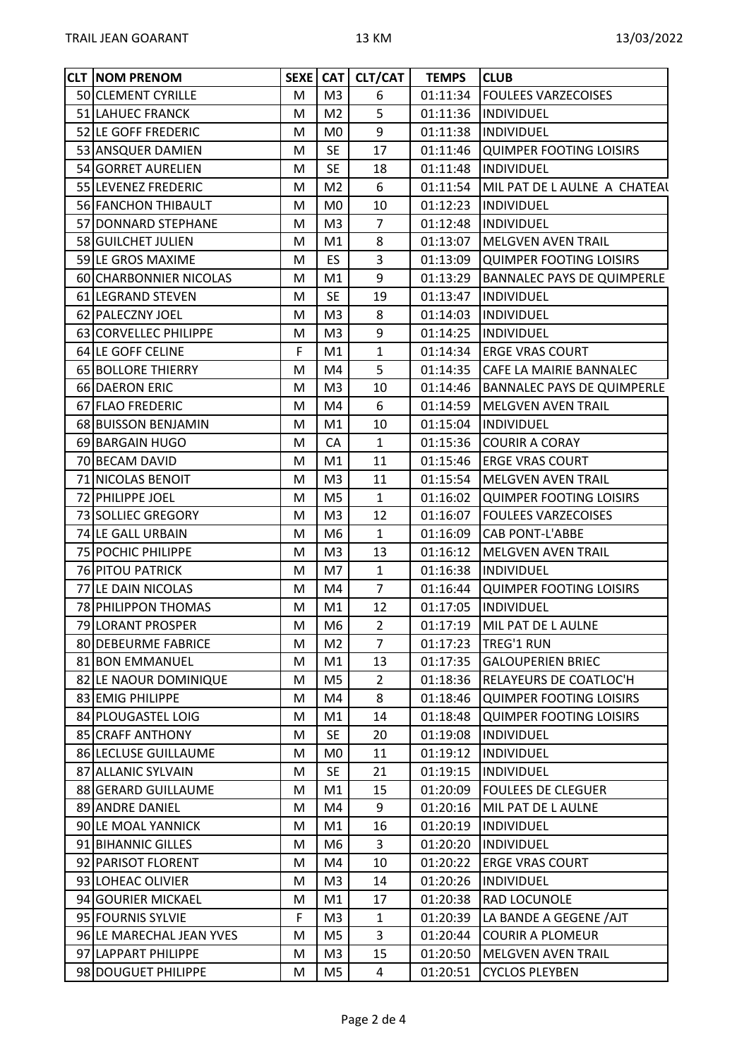| M <sub>3</sub><br>6<br>01:11:34<br>50 CLEMENT CYRILLE<br><b>FOULEES VARZECOISES</b><br>M<br>5<br>M <sub>2</sub><br>51 LAHUEC FRANCK<br>01:11:36  INDIVIDUEL<br>M<br>9<br>52 LE GOFF FREDERIC<br>01:11:38<br>INDIVIDUEL<br>M <sub>0</sub><br>M<br><b>SE</b><br>17<br>01:11:46 QUIMPER FOOTING LOISIRS<br>53 ANSQUER DAMIEN<br>М<br><b>SE</b><br>54 GORRET AURELIEN<br>18<br>01:11:48<br>INDIVIDUEL<br>M<br>6<br>M <sub>2</sub><br>01:11:54<br>MIL PAT DE L AULNE A CHATEAL<br>55 LEVENEZ FREDERIC<br>M<br>M <sub>0</sub><br>10<br>56 FANCHON THIBAULT<br>M<br>01:12:23<br><b>INDIVIDUEL</b><br>$\overline{7}$<br>57 DONNARD STEPHANE<br>M <sub>3</sub><br>01:12:48<br>INDIVIDUEL<br>M<br>8<br>58 GUILCHET JULIEN<br>M1<br>01:13:07<br><b>MELGVEN AVEN TRAIL</b><br>М<br>3<br>59 LE GROS MAXIME<br><b>ES</b><br>01:13:09<br>QUIMPER FOOTING LOISIRS<br>M<br>9<br>60 CHARBONNIER NICOLAS<br>M1<br>01:13:29<br><b>BANNALEC PAYS DE QUIMPERLE</b><br>M<br><b>SE</b><br>61 LEGRAND STEVEN<br>19<br>01:13:47<br><b>INDIVIDUEL</b><br>M<br>8<br>M <sub>3</sub><br>62 PALECZNY JOEL<br>01:14:03<br><b>INDIVIDUEL</b><br>M<br>9<br>M <sub>3</sub><br>01:14:25<br>63 CORVELLEC PHILIPPE<br><b>IINDIVIDUEL</b><br>M<br>F<br>64 LE GOFF CELINE<br>M1<br>$\mathbf{1}$<br>01:14:34 ERGE VRAS COURT<br>5<br>65 BOLLORE THIERRY<br>M4<br>01:14:35 CAFE LA MAIRIE BANNALEC<br>M<br>66 DAERON ERIC<br>M <sub>3</sub><br>10<br>01:14:46<br><b>BANNALEC PAYS DE QUIMPERLE</b><br>M<br>6<br>M4<br>01:14:59<br>MELGVEN AVEN TRAIL<br>67 FLAO FREDERIC<br>M<br>68 BUISSON BENJAMIN<br>M1<br>10<br>01:15:04  INDIVIDUEL<br>M<br>01:15:36 COURIR A CORAY<br>CA<br>$\mathbf{1}$<br>69 BARGAIN HUGO<br>M<br>70 BECAM DAVID<br>M1<br>11<br>01:15:46<br><b>ERGE VRAS COURT</b><br>M<br>71 NICOLAS BENOIT<br>01:15:54<br>MELGVEN AVEN TRAIL<br>M <sub>3</sub><br>11<br>M<br>$\mathbf{1}$<br>72 PHILIPPE JOEL<br>M <sub>5</sub><br>01:16:02<br>QUIMPER FOOTING LOISIRS<br>M<br>73 SOLLIEC GREGORY<br>M <sub>3</sub><br>12<br>01:16:07<br><b>FOULEES VARZECOISES</b><br>M<br>$\mathbf{1}$<br>74 LE GALL URBAIN<br>M <sub>6</sub><br>01:16:09<br><b>CAB PONT-L'ABBE</b><br>M<br>75 POCHIC PHILIPPE<br>M <sub>3</sub><br>01:16:12<br><b>MELGVEN AVEN TRAIL</b><br>M<br>13<br><b>76 PITOU PATRICK</b><br>M7<br>$\mathbf{1}$<br>01:16:38<br>M<br><b>INDIVIDUEL</b><br>$\overline{7}$<br>77 LE DAIN NICOLAS<br>M4<br>01:16:44 QUIMPER FOOTING LOISIRS<br>M<br>78 PHILIPPON THOMAS<br>12<br>M1<br>01:17:05<br>INDIVIDUEL<br>M<br>$\overline{2}$<br>79 LORANT PROSPER<br>M <sub>6</sub><br>01:17:19<br>MIL PAT DE L AULNE<br>M<br>80 DEBEURME FABRICE<br><b>TREG'1 RUN</b><br>M <sub>2</sub><br>$\overline{7}$<br>01:17:23<br>M<br>01:17:35<br><b>GALOUPERIEN BRIEC</b><br>81 BON EMMANUEL<br>M1<br>13<br>M<br>RELAYEURS DE COATLOC'H<br>82 LE NAOUR DOMINIQUE<br>M <sub>5</sub><br>01:18:36<br>$\mathbf{2}$<br>M<br>8<br>83 EMIG PHILIPPE<br>01:18:46<br><b>QUIMPER FOOTING LOISIRS</b><br>M<br>M4<br>84 PLOUGASTEL LOIG<br>14<br>M1<br>01:18:48<br><b>QUIMPER FOOTING LOISIRS</b><br>M<br><b>SE</b><br>85 CRAFF ANTHONY<br>20<br>01:19:08<br>INDIVIDUEL<br>M<br>86 LECLUSE GUILLAUME<br>M <sub>0</sub><br>11<br>01:19:12<br><b>INDIVIDUEL</b><br>M<br>87 ALLANIC SYLVAIN<br><b>SE</b><br>21<br>01:19:15<br>INDIVIDUEL<br>M<br>88 GERARD GUILLAUME<br>15<br>01:20:09<br><b>FOULEES DE CLEGUER</b><br>M1<br>M<br>9<br>01:20:16<br>89 ANDRE DANIEL<br>M4<br>MIL PAT DE L AULNE<br>M<br>90 LE MOAL YANNICK<br>01:20:19<br>M1<br>16<br><b>INDIVIDUEL</b><br>M<br>3<br>91 BIHANNIC GILLES<br>M <sub>6</sub><br>01:20:20<br>INDIVIDUEL<br>M<br>92 PARISOT FLORENT<br>M4<br>10<br>01:20:22<br><b>ERGE VRAS COURT</b><br>M<br>93 LOHEAC OLIVIER<br>M <sub>3</sub><br>14<br>01:20:26<br><b>INDIVIDUEL</b><br>M<br>94 GOURIER MICKAEL<br>01:20:38<br><b>RAD LOCUNOLE</b><br>M<br>M1<br>17<br>$\mathsf F$<br>LA BANDE A GEGENE / AJT<br>95 FOURNIS SYLVIE<br>M <sub>3</sub><br>$\mathbf{1}$<br>01:20:39<br>3<br><b>COURIR A PLOMEUR</b><br>96 LE MARECHAL JEAN YVES<br>M<br>M <sub>5</sub><br>01:20:44<br>97 LAPPART PHILIPPE<br>15<br>01:20:50<br><b>MELGVEN AVEN TRAIL</b><br>M <sub>3</sub><br>M<br>98 DOUGUET PHILIPPE<br>4<br>M <sub>5</sub><br>01:20:51<br><b>CYCLOS PLEYBEN</b><br>M | <b>CLT NOM PRENOM</b> |  | SEXE CAT CLT/CAT | <b>TEMPS</b> | <b>CLUB</b> |
|-------------------------------------------------------------------------------------------------------------------------------------------------------------------------------------------------------------------------------------------------------------------------------------------------------------------------------------------------------------------------------------------------------------------------------------------------------------------------------------------------------------------------------------------------------------------------------------------------------------------------------------------------------------------------------------------------------------------------------------------------------------------------------------------------------------------------------------------------------------------------------------------------------------------------------------------------------------------------------------------------------------------------------------------------------------------------------------------------------------------------------------------------------------------------------------------------------------------------------------------------------------------------------------------------------------------------------------------------------------------------------------------------------------------------------------------------------------------------------------------------------------------------------------------------------------------------------------------------------------------------------------------------------------------------------------------------------------------------------------------------------------------------------------------------------------------------------------------------------------------------------------------------------------------------------------------------------------------------------------------------------------------------------------------------------------------------------------------------------------------------------------------------------------------------------------------------------------------------------------------------------------------------------------------------------------------------------------------------------------------------------------------------------------------------------------------------------------------------------------------------------------------------------------------------------------------------------------------------------------------------------------------------------------------------------------------------------------------------------------------------------------------------------------------------------------------------------------------------------------------------------------------------------------------------------------------------------------------------------------------------------------------------------------------------------------------------------------------------------------------------------------------------------------------------------------------------------------------------------------------------------------------------------------------------------------------------------------------------------------------------------------------------------------------------------------------------------------------------------------------------------------------------------------------------------------------------------------------------------------------------------------------------------------------------------------------------------------------------------------------------------------------------------------------------------------------------------------------------------------------------------------------------------------------------------------------------------------------------------------------------------------------------------------------------------------------------------------------------------------------------------------------------------------------------------------------------------------------------------------------|-----------------------|--|------------------|--------------|-------------|
|                                                                                                                                                                                                                                                                                                                                                                                                                                                                                                                                                                                                                                                                                                                                                                                                                                                                                                                                                                                                                                                                                                                                                                                                                                                                                                                                                                                                                                                                                                                                                                                                                                                                                                                                                                                                                                                                                                                                                                                                                                                                                                                                                                                                                                                                                                                                                                                                                                                                                                                                                                                                                                                                                                                                                                                                                                                                                                                                                                                                                                                                                                                                                                                                                                                                                                                                                                                                                                                                                                                                                                                                                                                                                                                                                                                                                                                                                                                                                                                                                                                                                                                                                                                                                                           |                       |  |                  |              |             |
|                                                                                                                                                                                                                                                                                                                                                                                                                                                                                                                                                                                                                                                                                                                                                                                                                                                                                                                                                                                                                                                                                                                                                                                                                                                                                                                                                                                                                                                                                                                                                                                                                                                                                                                                                                                                                                                                                                                                                                                                                                                                                                                                                                                                                                                                                                                                                                                                                                                                                                                                                                                                                                                                                                                                                                                                                                                                                                                                                                                                                                                                                                                                                                                                                                                                                                                                                                                                                                                                                                                                                                                                                                                                                                                                                                                                                                                                                                                                                                                                                                                                                                                                                                                                                                           |                       |  |                  |              |             |
|                                                                                                                                                                                                                                                                                                                                                                                                                                                                                                                                                                                                                                                                                                                                                                                                                                                                                                                                                                                                                                                                                                                                                                                                                                                                                                                                                                                                                                                                                                                                                                                                                                                                                                                                                                                                                                                                                                                                                                                                                                                                                                                                                                                                                                                                                                                                                                                                                                                                                                                                                                                                                                                                                                                                                                                                                                                                                                                                                                                                                                                                                                                                                                                                                                                                                                                                                                                                                                                                                                                                                                                                                                                                                                                                                                                                                                                                                                                                                                                                                                                                                                                                                                                                                                           |                       |  |                  |              |             |
|                                                                                                                                                                                                                                                                                                                                                                                                                                                                                                                                                                                                                                                                                                                                                                                                                                                                                                                                                                                                                                                                                                                                                                                                                                                                                                                                                                                                                                                                                                                                                                                                                                                                                                                                                                                                                                                                                                                                                                                                                                                                                                                                                                                                                                                                                                                                                                                                                                                                                                                                                                                                                                                                                                                                                                                                                                                                                                                                                                                                                                                                                                                                                                                                                                                                                                                                                                                                                                                                                                                                                                                                                                                                                                                                                                                                                                                                                                                                                                                                                                                                                                                                                                                                                                           |                       |  |                  |              |             |
|                                                                                                                                                                                                                                                                                                                                                                                                                                                                                                                                                                                                                                                                                                                                                                                                                                                                                                                                                                                                                                                                                                                                                                                                                                                                                                                                                                                                                                                                                                                                                                                                                                                                                                                                                                                                                                                                                                                                                                                                                                                                                                                                                                                                                                                                                                                                                                                                                                                                                                                                                                                                                                                                                                                                                                                                                                                                                                                                                                                                                                                                                                                                                                                                                                                                                                                                                                                                                                                                                                                                                                                                                                                                                                                                                                                                                                                                                                                                                                                                                                                                                                                                                                                                                                           |                       |  |                  |              |             |
|                                                                                                                                                                                                                                                                                                                                                                                                                                                                                                                                                                                                                                                                                                                                                                                                                                                                                                                                                                                                                                                                                                                                                                                                                                                                                                                                                                                                                                                                                                                                                                                                                                                                                                                                                                                                                                                                                                                                                                                                                                                                                                                                                                                                                                                                                                                                                                                                                                                                                                                                                                                                                                                                                                                                                                                                                                                                                                                                                                                                                                                                                                                                                                                                                                                                                                                                                                                                                                                                                                                                                                                                                                                                                                                                                                                                                                                                                                                                                                                                                                                                                                                                                                                                                                           |                       |  |                  |              |             |
|                                                                                                                                                                                                                                                                                                                                                                                                                                                                                                                                                                                                                                                                                                                                                                                                                                                                                                                                                                                                                                                                                                                                                                                                                                                                                                                                                                                                                                                                                                                                                                                                                                                                                                                                                                                                                                                                                                                                                                                                                                                                                                                                                                                                                                                                                                                                                                                                                                                                                                                                                                                                                                                                                                                                                                                                                                                                                                                                                                                                                                                                                                                                                                                                                                                                                                                                                                                                                                                                                                                                                                                                                                                                                                                                                                                                                                                                                                                                                                                                                                                                                                                                                                                                                                           |                       |  |                  |              |             |
|                                                                                                                                                                                                                                                                                                                                                                                                                                                                                                                                                                                                                                                                                                                                                                                                                                                                                                                                                                                                                                                                                                                                                                                                                                                                                                                                                                                                                                                                                                                                                                                                                                                                                                                                                                                                                                                                                                                                                                                                                                                                                                                                                                                                                                                                                                                                                                                                                                                                                                                                                                                                                                                                                                                                                                                                                                                                                                                                                                                                                                                                                                                                                                                                                                                                                                                                                                                                                                                                                                                                                                                                                                                                                                                                                                                                                                                                                                                                                                                                                                                                                                                                                                                                                                           |                       |  |                  |              |             |
|                                                                                                                                                                                                                                                                                                                                                                                                                                                                                                                                                                                                                                                                                                                                                                                                                                                                                                                                                                                                                                                                                                                                                                                                                                                                                                                                                                                                                                                                                                                                                                                                                                                                                                                                                                                                                                                                                                                                                                                                                                                                                                                                                                                                                                                                                                                                                                                                                                                                                                                                                                                                                                                                                                                                                                                                                                                                                                                                                                                                                                                                                                                                                                                                                                                                                                                                                                                                                                                                                                                                                                                                                                                                                                                                                                                                                                                                                                                                                                                                                                                                                                                                                                                                                                           |                       |  |                  |              |             |
|                                                                                                                                                                                                                                                                                                                                                                                                                                                                                                                                                                                                                                                                                                                                                                                                                                                                                                                                                                                                                                                                                                                                                                                                                                                                                                                                                                                                                                                                                                                                                                                                                                                                                                                                                                                                                                                                                                                                                                                                                                                                                                                                                                                                                                                                                                                                                                                                                                                                                                                                                                                                                                                                                                                                                                                                                                                                                                                                                                                                                                                                                                                                                                                                                                                                                                                                                                                                                                                                                                                                                                                                                                                                                                                                                                                                                                                                                                                                                                                                                                                                                                                                                                                                                                           |                       |  |                  |              |             |
|                                                                                                                                                                                                                                                                                                                                                                                                                                                                                                                                                                                                                                                                                                                                                                                                                                                                                                                                                                                                                                                                                                                                                                                                                                                                                                                                                                                                                                                                                                                                                                                                                                                                                                                                                                                                                                                                                                                                                                                                                                                                                                                                                                                                                                                                                                                                                                                                                                                                                                                                                                                                                                                                                                                                                                                                                                                                                                                                                                                                                                                                                                                                                                                                                                                                                                                                                                                                                                                                                                                                                                                                                                                                                                                                                                                                                                                                                                                                                                                                                                                                                                                                                                                                                                           |                       |  |                  |              |             |
|                                                                                                                                                                                                                                                                                                                                                                                                                                                                                                                                                                                                                                                                                                                                                                                                                                                                                                                                                                                                                                                                                                                                                                                                                                                                                                                                                                                                                                                                                                                                                                                                                                                                                                                                                                                                                                                                                                                                                                                                                                                                                                                                                                                                                                                                                                                                                                                                                                                                                                                                                                                                                                                                                                                                                                                                                                                                                                                                                                                                                                                                                                                                                                                                                                                                                                                                                                                                                                                                                                                                                                                                                                                                                                                                                                                                                                                                                                                                                                                                                                                                                                                                                                                                                                           |                       |  |                  |              |             |
|                                                                                                                                                                                                                                                                                                                                                                                                                                                                                                                                                                                                                                                                                                                                                                                                                                                                                                                                                                                                                                                                                                                                                                                                                                                                                                                                                                                                                                                                                                                                                                                                                                                                                                                                                                                                                                                                                                                                                                                                                                                                                                                                                                                                                                                                                                                                                                                                                                                                                                                                                                                                                                                                                                                                                                                                                                                                                                                                                                                                                                                                                                                                                                                                                                                                                                                                                                                                                                                                                                                                                                                                                                                                                                                                                                                                                                                                                                                                                                                                                                                                                                                                                                                                                                           |                       |  |                  |              |             |
|                                                                                                                                                                                                                                                                                                                                                                                                                                                                                                                                                                                                                                                                                                                                                                                                                                                                                                                                                                                                                                                                                                                                                                                                                                                                                                                                                                                                                                                                                                                                                                                                                                                                                                                                                                                                                                                                                                                                                                                                                                                                                                                                                                                                                                                                                                                                                                                                                                                                                                                                                                                                                                                                                                                                                                                                                                                                                                                                                                                                                                                                                                                                                                                                                                                                                                                                                                                                                                                                                                                                                                                                                                                                                                                                                                                                                                                                                                                                                                                                                                                                                                                                                                                                                                           |                       |  |                  |              |             |
|                                                                                                                                                                                                                                                                                                                                                                                                                                                                                                                                                                                                                                                                                                                                                                                                                                                                                                                                                                                                                                                                                                                                                                                                                                                                                                                                                                                                                                                                                                                                                                                                                                                                                                                                                                                                                                                                                                                                                                                                                                                                                                                                                                                                                                                                                                                                                                                                                                                                                                                                                                                                                                                                                                                                                                                                                                                                                                                                                                                                                                                                                                                                                                                                                                                                                                                                                                                                                                                                                                                                                                                                                                                                                                                                                                                                                                                                                                                                                                                                                                                                                                                                                                                                                                           |                       |  |                  |              |             |
|                                                                                                                                                                                                                                                                                                                                                                                                                                                                                                                                                                                                                                                                                                                                                                                                                                                                                                                                                                                                                                                                                                                                                                                                                                                                                                                                                                                                                                                                                                                                                                                                                                                                                                                                                                                                                                                                                                                                                                                                                                                                                                                                                                                                                                                                                                                                                                                                                                                                                                                                                                                                                                                                                                                                                                                                                                                                                                                                                                                                                                                                                                                                                                                                                                                                                                                                                                                                                                                                                                                                                                                                                                                                                                                                                                                                                                                                                                                                                                                                                                                                                                                                                                                                                                           |                       |  |                  |              |             |
|                                                                                                                                                                                                                                                                                                                                                                                                                                                                                                                                                                                                                                                                                                                                                                                                                                                                                                                                                                                                                                                                                                                                                                                                                                                                                                                                                                                                                                                                                                                                                                                                                                                                                                                                                                                                                                                                                                                                                                                                                                                                                                                                                                                                                                                                                                                                                                                                                                                                                                                                                                                                                                                                                                                                                                                                                                                                                                                                                                                                                                                                                                                                                                                                                                                                                                                                                                                                                                                                                                                                                                                                                                                                                                                                                                                                                                                                                                                                                                                                                                                                                                                                                                                                                                           |                       |  |                  |              |             |
|                                                                                                                                                                                                                                                                                                                                                                                                                                                                                                                                                                                                                                                                                                                                                                                                                                                                                                                                                                                                                                                                                                                                                                                                                                                                                                                                                                                                                                                                                                                                                                                                                                                                                                                                                                                                                                                                                                                                                                                                                                                                                                                                                                                                                                                                                                                                                                                                                                                                                                                                                                                                                                                                                                                                                                                                                                                                                                                                                                                                                                                                                                                                                                                                                                                                                                                                                                                                                                                                                                                                                                                                                                                                                                                                                                                                                                                                                                                                                                                                                                                                                                                                                                                                                                           |                       |  |                  |              |             |
|                                                                                                                                                                                                                                                                                                                                                                                                                                                                                                                                                                                                                                                                                                                                                                                                                                                                                                                                                                                                                                                                                                                                                                                                                                                                                                                                                                                                                                                                                                                                                                                                                                                                                                                                                                                                                                                                                                                                                                                                                                                                                                                                                                                                                                                                                                                                                                                                                                                                                                                                                                                                                                                                                                                                                                                                                                                                                                                                                                                                                                                                                                                                                                                                                                                                                                                                                                                                                                                                                                                                                                                                                                                                                                                                                                                                                                                                                                                                                                                                                                                                                                                                                                                                                                           |                       |  |                  |              |             |
|                                                                                                                                                                                                                                                                                                                                                                                                                                                                                                                                                                                                                                                                                                                                                                                                                                                                                                                                                                                                                                                                                                                                                                                                                                                                                                                                                                                                                                                                                                                                                                                                                                                                                                                                                                                                                                                                                                                                                                                                                                                                                                                                                                                                                                                                                                                                                                                                                                                                                                                                                                                                                                                                                                                                                                                                                                                                                                                                                                                                                                                                                                                                                                                                                                                                                                                                                                                                                                                                                                                                                                                                                                                                                                                                                                                                                                                                                                                                                                                                                                                                                                                                                                                                                                           |                       |  |                  |              |             |
|                                                                                                                                                                                                                                                                                                                                                                                                                                                                                                                                                                                                                                                                                                                                                                                                                                                                                                                                                                                                                                                                                                                                                                                                                                                                                                                                                                                                                                                                                                                                                                                                                                                                                                                                                                                                                                                                                                                                                                                                                                                                                                                                                                                                                                                                                                                                                                                                                                                                                                                                                                                                                                                                                                                                                                                                                                                                                                                                                                                                                                                                                                                                                                                                                                                                                                                                                                                                                                                                                                                                                                                                                                                                                                                                                                                                                                                                                                                                                                                                                                                                                                                                                                                                                                           |                       |  |                  |              |             |
|                                                                                                                                                                                                                                                                                                                                                                                                                                                                                                                                                                                                                                                                                                                                                                                                                                                                                                                                                                                                                                                                                                                                                                                                                                                                                                                                                                                                                                                                                                                                                                                                                                                                                                                                                                                                                                                                                                                                                                                                                                                                                                                                                                                                                                                                                                                                                                                                                                                                                                                                                                                                                                                                                                                                                                                                                                                                                                                                                                                                                                                                                                                                                                                                                                                                                                                                                                                                                                                                                                                                                                                                                                                                                                                                                                                                                                                                                                                                                                                                                                                                                                                                                                                                                                           |                       |  |                  |              |             |
|                                                                                                                                                                                                                                                                                                                                                                                                                                                                                                                                                                                                                                                                                                                                                                                                                                                                                                                                                                                                                                                                                                                                                                                                                                                                                                                                                                                                                                                                                                                                                                                                                                                                                                                                                                                                                                                                                                                                                                                                                                                                                                                                                                                                                                                                                                                                                                                                                                                                                                                                                                                                                                                                                                                                                                                                                                                                                                                                                                                                                                                                                                                                                                                                                                                                                                                                                                                                                                                                                                                                                                                                                                                                                                                                                                                                                                                                                                                                                                                                                                                                                                                                                                                                                                           |                       |  |                  |              |             |
|                                                                                                                                                                                                                                                                                                                                                                                                                                                                                                                                                                                                                                                                                                                                                                                                                                                                                                                                                                                                                                                                                                                                                                                                                                                                                                                                                                                                                                                                                                                                                                                                                                                                                                                                                                                                                                                                                                                                                                                                                                                                                                                                                                                                                                                                                                                                                                                                                                                                                                                                                                                                                                                                                                                                                                                                                                                                                                                                                                                                                                                                                                                                                                                                                                                                                                                                                                                                                                                                                                                                                                                                                                                                                                                                                                                                                                                                                                                                                                                                                                                                                                                                                                                                                                           |                       |  |                  |              |             |
|                                                                                                                                                                                                                                                                                                                                                                                                                                                                                                                                                                                                                                                                                                                                                                                                                                                                                                                                                                                                                                                                                                                                                                                                                                                                                                                                                                                                                                                                                                                                                                                                                                                                                                                                                                                                                                                                                                                                                                                                                                                                                                                                                                                                                                                                                                                                                                                                                                                                                                                                                                                                                                                                                                                                                                                                                                                                                                                                                                                                                                                                                                                                                                                                                                                                                                                                                                                                                                                                                                                                                                                                                                                                                                                                                                                                                                                                                                                                                                                                                                                                                                                                                                                                                                           |                       |  |                  |              |             |
|                                                                                                                                                                                                                                                                                                                                                                                                                                                                                                                                                                                                                                                                                                                                                                                                                                                                                                                                                                                                                                                                                                                                                                                                                                                                                                                                                                                                                                                                                                                                                                                                                                                                                                                                                                                                                                                                                                                                                                                                                                                                                                                                                                                                                                                                                                                                                                                                                                                                                                                                                                                                                                                                                                                                                                                                                                                                                                                                                                                                                                                                                                                                                                                                                                                                                                                                                                                                                                                                                                                                                                                                                                                                                                                                                                                                                                                                                                                                                                                                                                                                                                                                                                                                                                           |                       |  |                  |              |             |
|                                                                                                                                                                                                                                                                                                                                                                                                                                                                                                                                                                                                                                                                                                                                                                                                                                                                                                                                                                                                                                                                                                                                                                                                                                                                                                                                                                                                                                                                                                                                                                                                                                                                                                                                                                                                                                                                                                                                                                                                                                                                                                                                                                                                                                                                                                                                                                                                                                                                                                                                                                                                                                                                                                                                                                                                                                                                                                                                                                                                                                                                                                                                                                                                                                                                                                                                                                                                                                                                                                                                                                                                                                                                                                                                                                                                                                                                                                                                                                                                                                                                                                                                                                                                                                           |                       |  |                  |              |             |
|                                                                                                                                                                                                                                                                                                                                                                                                                                                                                                                                                                                                                                                                                                                                                                                                                                                                                                                                                                                                                                                                                                                                                                                                                                                                                                                                                                                                                                                                                                                                                                                                                                                                                                                                                                                                                                                                                                                                                                                                                                                                                                                                                                                                                                                                                                                                                                                                                                                                                                                                                                                                                                                                                                                                                                                                                                                                                                                                                                                                                                                                                                                                                                                                                                                                                                                                                                                                                                                                                                                                                                                                                                                                                                                                                                                                                                                                                                                                                                                                                                                                                                                                                                                                                                           |                       |  |                  |              |             |
|                                                                                                                                                                                                                                                                                                                                                                                                                                                                                                                                                                                                                                                                                                                                                                                                                                                                                                                                                                                                                                                                                                                                                                                                                                                                                                                                                                                                                                                                                                                                                                                                                                                                                                                                                                                                                                                                                                                                                                                                                                                                                                                                                                                                                                                                                                                                                                                                                                                                                                                                                                                                                                                                                                                                                                                                                                                                                                                                                                                                                                                                                                                                                                                                                                                                                                                                                                                                                                                                                                                                                                                                                                                                                                                                                                                                                                                                                                                                                                                                                                                                                                                                                                                                                                           |                       |  |                  |              |             |
|                                                                                                                                                                                                                                                                                                                                                                                                                                                                                                                                                                                                                                                                                                                                                                                                                                                                                                                                                                                                                                                                                                                                                                                                                                                                                                                                                                                                                                                                                                                                                                                                                                                                                                                                                                                                                                                                                                                                                                                                                                                                                                                                                                                                                                                                                                                                                                                                                                                                                                                                                                                                                                                                                                                                                                                                                                                                                                                                                                                                                                                                                                                                                                                                                                                                                                                                                                                                                                                                                                                                                                                                                                                                                                                                                                                                                                                                                                                                                                                                                                                                                                                                                                                                                                           |                       |  |                  |              |             |
|                                                                                                                                                                                                                                                                                                                                                                                                                                                                                                                                                                                                                                                                                                                                                                                                                                                                                                                                                                                                                                                                                                                                                                                                                                                                                                                                                                                                                                                                                                                                                                                                                                                                                                                                                                                                                                                                                                                                                                                                                                                                                                                                                                                                                                                                                                                                                                                                                                                                                                                                                                                                                                                                                                                                                                                                                                                                                                                                                                                                                                                                                                                                                                                                                                                                                                                                                                                                                                                                                                                                                                                                                                                                                                                                                                                                                                                                                                                                                                                                                                                                                                                                                                                                                                           |                       |  |                  |              |             |
|                                                                                                                                                                                                                                                                                                                                                                                                                                                                                                                                                                                                                                                                                                                                                                                                                                                                                                                                                                                                                                                                                                                                                                                                                                                                                                                                                                                                                                                                                                                                                                                                                                                                                                                                                                                                                                                                                                                                                                                                                                                                                                                                                                                                                                                                                                                                                                                                                                                                                                                                                                                                                                                                                                                                                                                                                                                                                                                                                                                                                                                                                                                                                                                                                                                                                                                                                                                                                                                                                                                                                                                                                                                                                                                                                                                                                                                                                                                                                                                                                                                                                                                                                                                                                                           |                       |  |                  |              |             |
|                                                                                                                                                                                                                                                                                                                                                                                                                                                                                                                                                                                                                                                                                                                                                                                                                                                                                                                                                                                                                                                                                                                                                                                                                                                                                                                                                                                                                                                                                                                                                                                                                                                                                                                                                                                                                                                                                                                                                                                                                                                                                                                                                                                                                                                                                                                                                                                                                                                                                                                                                                                                                                                                                                                                                                                                                                                                                                                                                                                                                                                                                                                                                                                                                                                                                                                                                                                                                                                                                                                                                                                                                                                                                                                                                                                                                                                                                                                                                                                                                                                                                                                                                                                                                                           |                       |  |                  |              |             |
|                                                                                                                                                                                                                                                                                                                                                                                                                                                                                                                                                                                                                                                                                                                                                                                                                                                                                                                                                                                                                                                                                                                                                                                                                                                                                                                                                                                                                                                                                                                                                                                                                                                                                                                                                                                                                                                                                                                                                                                                                                                                                                                                                                                                                                                                                                                                                                                                                                                                                                                                                                                                                                                                                                                                                                                                                                                                                                                                                                                                                                                                                                                                                                                                                                                                                                                                                                                                                                                                                                                                                                                                                                                                                                                                                                                                                                                                                                                                                                                                                                                                                                                                                                                                                                           |                       |  |                  |              |             |
|                                                                                                                                                                                                                                                                                                                                                                                                                                                                                                                                                                                                                                                                                                                                                                                                                                                                                                                                                                                                                                                                                                                                                                                                                                                                                                                                                                                                                                                                                                                                                                                                                                                                                                                                                                                                                                                                                                                                                                                                                                                                                                                                                                                                                                                                                                                                                                                                                                                                                                                                                                                                                                                                                                                                                                                                                                                                                                                                                                                                                                                                                                                                                                                                                                                                                                                                                                                                                                                                                                                                                                                                                                                                                                                                                                                                                                                                                                                                                                                                                                                                                                                                                                                                                                           |                       |  |                  |              |             |
|                                                                                                                                                                                                                                                                                                                                                                                                                                                                                                                                                                                                                                                                                                                                                                                                                                                                                                                                                                                                                                                                                                                                                                                                                                                                                                                                                                                                                                                                                                                                                                                                                                                                                                                                                                                                                                                                                                                                                                                                                                                                                                                                                                                                                                                                                                                                                                                                                                                                                                                                                                                                                                                                                                                                                                                                                                                                                                                                                                                                                                                                                                                                                                                                                                                                                                                                                                                                                                                                                                                                                                                                                                                                                                                                                                                                                                                                                                                                                                                                                                                                                                                                                                                                                                           |                       |  |                  |              |             |
|                                                                                                                                                                                                                                                                                                                                                                                                                                                                                                                                                                                                                                                                                                                                                                                                                                                                                                                                                                                                                                                                                                                                                                                                                                                                                                                                                                                                                                                                                                                                                                                                                                                                                                                                                                                                                                                                                                                                                                                                                                                                                                                                                                                                                                                                                                                                                                                                                                                                                                                                                                                                                                                                                                                                                                                                                                                                                                                                                                                                                                                                                                                                                                                                                                                                                                                                                                                                                                                                                                                                                                                                                                                                                                                                                                                                                                                                                                                                                                                                                                                                                                                                                                                                                                           |                       |  |                  |              |             |
|                                                                                                                                                                                                                                                                                                                                                                                                                                                                                                                                                                                                                                                                                                                                                                                                                                                                                                                                                                                                                                                                                                                                                                                                                                                                                                                                                                                                                                                                                                                                                                                                                                                                                                                                                                                                                                                                                                                                                                                                                                                                                                                                                                                                                                                                                                                                                                                                                                                                                                                                                                                                                                                                                                                                                                                                                                                                                                                                                                                                                                                                                                                                                                                                                                                                                                                                                                                                                                                                                                                                                                                                                                                                                                                                                                                                                                                                                                                                                                                                                                                                                                                                                                                                                                           |                       |  |                  |              |             |
|                                                                                                                                                                                                                                                                                                                                                                                                                                                                                                                                                                                                                                                                                                                                                                                                                                                                                                                                                                                                                                                                                                                                                                                                                                                                                                                                                                                                                                                                                                                                                                                                                                                                                                                                                                                                                                                                                                                                                                                                                                                                                                                                                                                                                                                                                                                                                                                                                                                                                                                                                                                                                                                                                                                                                                                                                                                                                                                                                                                                                                                                                                                                                                                                                                                                                                                                                                                                                                                                                                                                                                                                                                                                                                                                                                                                                                                                                                                                                                                                                                                                                                                                                                                                                                           |                       |  |                  |              |             |
|                                                                                                                                                                                                                                                                                                                                                                                                                                                                                                                                                                                                                                                                                                                                                                                                                                                                                                                                                                                                                                                                                                                                                                                                                                                                                                                                                                                                                                                                                                                                                                                                                                                                                                                                                                                                                                                                                                                                                                                                                                                                                                                                                                                                                                                                                                                                                                                                                                                                                                                                                                                                                                                                                                                                                                                                                                                                                                                                                                                                                                                                                                                                                                                                                                                                                                                                                                                                                                                                                                                                                                                                                                                                                                                                                                                                                                                                                                                                                                                                                                                                                                                                                                                                                                           |                       |  |                  |              |             |
|                                                                                                                                                                                                                                                                                                                                                                                                                                                                                                                                                                                                                                                                                                                                                                                                                                                                                                                                                                                                                                                                                                                                                                                                                                                                                                                                                                                                                                                                                                                                                                                                                                                                                                                                                                                                                                                                                                                                                                                                                                                                                                                                                                                                                                                                                                                                                                                                                                                                                                                                                                                                                                                                                                                                                                                                                                                                                                                                                                                                                                                                                                                                                                                                                                                                                                                                                                                                                                                                                                                                                                                                                                                                                                                                                                                                                                                                                                                                                                                                                                                                                                                                                                                                                                           |                       |  |                  |              |             |
|                                                                                                                                                                                                                                                                                                                                                                                                                                                                                                                                                                                                                                                                                                                                                                                                                                                                                                                                                                                                                                                                                                                                                                                                                                                                                                                                                                                                                                                                                                                                                                                                                                                                                                                                                                                                                                                                                                                                                                                                                                                                                                                                                                                                                                                                                                                                                                                                                                                                                                                                                                                                                                                                                                                                                                                                                                                                                                                                                                                                                                                                                                                                                                                                                                                                                                                                                                                                                                                                                                                                                                                                                                                                                                                                                                                                                                                                                                                                                                                                                                                                                                                                                                                                                                           |                       |  |                  |              |             |
|                                                                                                                                                                                                                                                                                                                                                                                                                                                                                                                                                                                                                                                                                                                                                                                                                                                                                                                                                                                                                                                                                                                                                                                                                                                                                                                                                                                                                                                                                                                                                                                                                                                                                                                                                                                                                                                                                                                                                                                                                                                                                                                                                                                                                                                                                                                                                                                                                                                                                                                                                                                                                                                                                                                                                                                                                                                                                                                                                                                                                                                                                                                                                                                                                                                                                                                                                                                                                                                                                                                                                                                                                                                                                                                                                                                                                                                                                                                                                                                                                                                                                                                                                                                                                                           |                       |  |                  |              |             |
|                                                                                                                                                                                                                                                                                                                                                                                                                                                                                                                                                                                                                                                                                                                                                                                                                                                                                                                                                                                                                                                                                                                                                                                                                                                                                                                                                                                                                                                                                                                                                                                                                                                                                                                                                                                                                                                                                                                                                                                                                                                                                                                                                                                                                                                                                                                                                                                                                                                                                                                                                                                                                                                                                                                                                                                                                                                                                                                                                                                                                                                                                                                                                                                                                                                                                                                                                                                                                                                                                                                                                                                                                                                                                                                                                                                                                                                                                                                                                                                                                                                                                                                                                                                                                                           |                       |  |                  |              |             |
|                                                                                                                                                                                                                                                                                                                                                                                                                                                                                                                                                                                                                                                                                                                                                                                                                                                                                                                                                                                                                                                                                                                                                                                                                                                                                                                                                                                                                                                                                                                                                                                                                                                                                                                                                                                                                                                                                                                                                                                                                                                                                                                                                                                                                                                                                                                                                                                                                                                                                                                                                                                                                                                                                                                                                                                                                                                                                                                                                                                                                                                                                                                                                                                                                                                                                                                                                                                                                                                                                                                                                                                                                                                                                                                                                                                                                                                                                                                                                                                                                                                                                                                                                                                                                                           |                       |  |                  |              |             |
|                                                                                                                                                                                                                                                                                                                                                                                                                                                                                                                                                                                                                                                                                                                                                                                                                                                                                                                                                                                                                                                                                                                                                                                                                                                                                                                                                                                                                                                                                                                                                                                                                                                                                                                                                                                                                                                                                                                                                                                                                                                                                                                                                                                                                                                                                                                                                                                                                                                                                                                                                                                                                                                                                                                                                                                                                                                                                                                                                                                                                                                                                                                                                                                                                                                                                                                                                                                                                                                                                                                                                                                                                                                                                                                                                                                                                                                                                                                                                                                                                                                                                                                                                                                                                                           |                       |  |                  |              |             |
|                                                                                                                                                                                                                                                                                                                                                                                                                                                                                                                                                                                                                                                                                                                                                                                                                                                                                                                                                                                                                                                                                                                                                                                                                                                                                                                                                                                                                                                                                                                                                                                                                                                                                                                                                                                                                                                                                                                                                                                                                                                                                                                                                                                                                                                                                                                                                                                                                                                                                                                                                                                                                                                                                                                                                                                                                                                                                                                                                                                                                                                                                                                                                                                                                                                                                                                                                                                                                                                                                                                                                                                                                                                                                                                                                                                                                                                                                                                                                                                                                                                                                                                                                                                                                                           |                       |  |                  |              |             |
|                                                                                                                                                                                                                                                                                                                                                                                                                                                                                                                                                                                                                                                                                                                                                                                                                                                                                                                                                                                                                                                                                                                                                                                                                                                                                                                                                                                                                                                                                                                                                                                                                                                                                                                                                                                                                                                                                                                                                                                                                                                                                                                                                                                                                                                                                                                                                                                                                                                                                                                                                                                                                                                                                                                                                                                                                                                                                                                                                                                                                                                                                                                                                                                                                                                                                                                                                                                                                                                                                                                                                                                                                                                                                                                                                                                                                                                                                                                                                                                                                                                                                                                                                                                                                                           |                       |  |                  |              |             |
|                                                                                                                                                                                                                                                                                                                                                                                                                                                                                                                                                                                                                                                                                                                                                                                                                                                                                                                                                                                                                                                                                                                                                                                                                                                                                                                                                                                                                                                                                                                                                                                                                                                                                                                                                                                                                                                                                                                                                                                                                                                                                                                                                                                                                                                                                                                                                                                                                                                                                                                                                                                                                                                                                                                                                                                                                                                                                                                                                                                                                                                                                                                                                                                                                                                                                                                                                                                                                                                                                                                                                                                                                                                                                                                                                                                                                                                                                                                                                                                                                                                                                                                                                                                                                                           |                       |  |                  |              |             |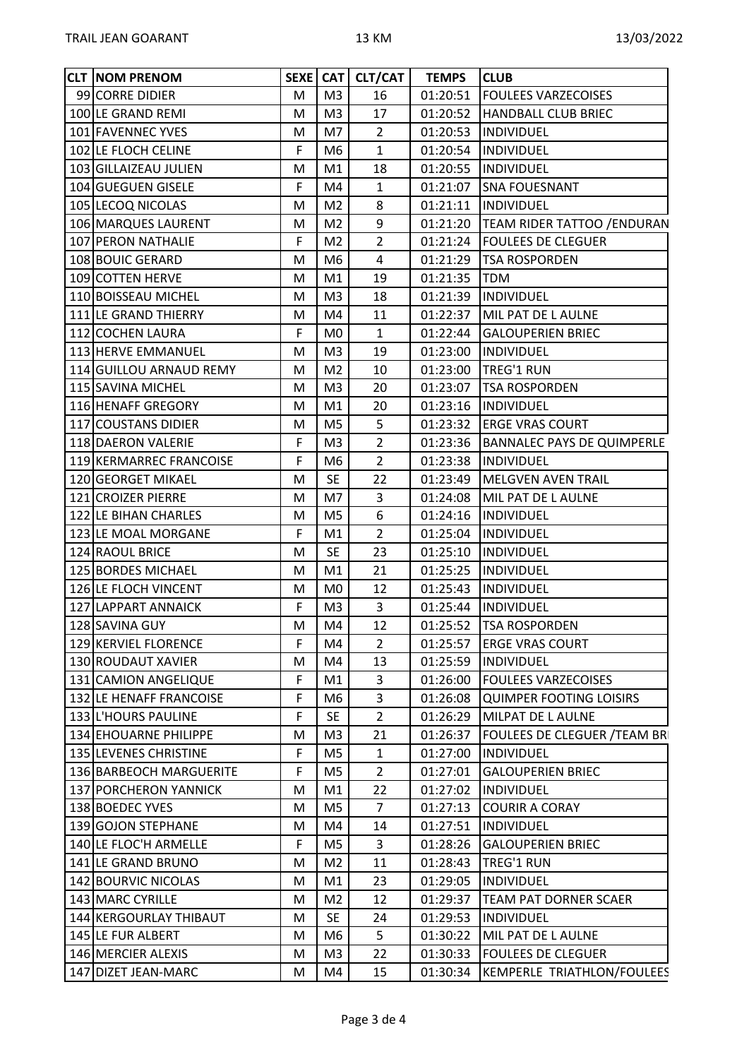| <b>CLT INOM PRENOM</b>  |   |                | SEXE   CAT   CLT/CAT | <b>TEMPS</b> | <b>CLUB</b>                            |
|-------------------------|---|----------------|----------------------|--------------|----------------------------------------|
| 99 CORRE DIDIER         | M | M <sub>3</sub> | 16                   | 01:20:51     | <b>FOULEES VARZECOISES</b>             |
| 100 LE GRAND REMI       | M | M <sub>3</sub> | 17                   |              | 01:20:52  HANDBALL CLUB BRIEC          |
| 101 FAVENNEC YVES       | M | M7             | $\overline{2}$       | 01:20:53     | <b>INDIVIDUEL</b>                      |
| 102 LE FLOCH CELINE     | F | M <sub>6</sub> | $\mathbf{1}$         |              | 01:20:54  INDIVIDUEL                   |
| 103 GILLAIZEAU JULIEN   | M | M1             | 18                   |              | 01:20:55  INDIVIDUEL                   |
| 104 GUEGUEN GISELE      | F | M4             | $\mathbf{1}$         |              | 01:21:07 SNA FOUESNANT                 |
| 105 LECOQ NICOLAS       | M | M <sub>2</sub> | 8                    | 01:21:11     | <b>INDIVIDUEL</b>                      |
| 106 MARQUES LAURENT     | M | M <sub>2</sub> | 9                    |              | 01:21:20   TEAM RIDER TATTOO / ENDURAN |
| 107 PERON NATHALIE      | F | M <sub>2</sub> | $\overline{2}$       |              | 01:21:24   FOULEES DE CLEGUER          |
| 108 BOUIC GERARD        | M | M6             | 4                    |              | 01:21:29  TSA ROSPORDEN                |
| 109 COTTEN HERVE        | M | M1             | 19                   | 01:21:35     | <b>ITDM</b>                            |
| 110 BOISSEAU MICHEL     | M | M <sub>3</sub> | 18                   |              | 01:21:39  INDIVIDUEL                   |
| 111 LE GRAND THIERRY    | M | M4             | 11                   |              | 01:22:37   MIL PAT DE L AULNE          |
| 112 COCHEN LAURA        | F | M <sub>0</sub> | $\mathbf{1}$         |              | 01:22:44 GALOUPERIEN BRIEC             |
| 113 HERVE EMMANUEL      | M | M <sub>3</sub> | 19                   |              | 01:23:00  INDIVIDUEL                   |
| 114 GUILLOU ARNAUD REMY | M | M <sub>2</sub> | 10                   |              | 01:23:00   TREG'1 RUN                  |
| 115 SAVINA MICHEL       | M | M <sub>3</sub> | 20                   | 01:23:07     | <b>TSA ROSPORDEN</b>                   |
| 116 HENAFF GREGORY      | M | M1             | 20                   |              | 01:23:16  INDIVIDUEL                   |
| 117 COUSTANS DIDIER     | M | M <sub>5</sub> | 5                    |              | 01:23:32   ERGE VRAS COURT             |
| 118 DAERON VALERIE      | F | M <sub>3</sub> | $\overline{2}$       |              | 01:23:36   BANNALEC PAYS DE QUIMPERLE  |
| 119 KERMARREC FRANCOISE | F | M <sub>6</sub> | $\overline{2}$       |              | 01:23:38  INDIVIDUEL                   |
| 120 GEORGET MIKAEL      | M | <b>SE</b>      | 22                   |              | 01:23:49   MELGVEN AVEN TRAIL          |
| 121 CROIZER PIERRE      | M | M7             | 3                    |              | 01:24:08   MIL PAT DE L AULNE          |
| 122 LE BIHAN CHARLES    | M | M <sub>5</sub> | 6                    |              | 01:24:16  INDIVIDUEL                   |
| 123 LE MOAL MORGANE     | F | M1             | $\overline{2}$       |              | 01:25:04  INDIVIDUEL                   |
| 124 RAOUL BRICE         | M | <b>SE</b>      | 23                   | 01:25:10     | <b>INDIVIDUEL</b>                      |
| 125 BORDES MICHAEL      | M | M1             | 21                   | 01:25:25     | INDIVIDUEL                             |
| 126 LE FLOCH VINCENT    | M | M <sub>0</sub> | 12                   |              | 01:25:43  INDIVIDUEL                   |
| 127 LAPPART ANNAICK     | F | M <sub>3</sub> | 3                    |              | 01:25:44  INDIVIDUEL                   |
| 128 SAVINA GUY          | M | M4             | 12                   |              | 01:25:52  TSA ROSPORDEN                |
| 129 KERVIEL FLORENCE    | F | M4             | $\overline{2}$       |              | 01:25:57   ERGE VRAS COURT             |
| 130 ROUDAUT XAVIER      | M | M4             | 13                   | 01:25:59     | INDIVIDUEL                             |
| 131 CAMION ANGELIQUE    | F | M1             | 3                    | 01:26:00     | <b>FOULEES VARZECOISES</b>             |
| 132 LE HENAFF FRANCOISE | F | M <sub>6</sub> | 3                    | 01:26:08     | QUIMPER FOOTING LOISIRS                |
| 133 L'HOURS PAULINE     | F | <b>SE</b>      | $\overline{2}$       | 01:26:29     | MILPAT DE L AULNE                      |
| 134 EHOUARNE PHILIPPE   | M | M3             | 21                   | 01:26:37     | <b>FOULEES DE CLEGUER / TEAM BRI</b>   |
| 135 LEVENES CHRISTINE   | F | M <sub>5</sub> | $\mathbf{1}$         | 01:27:00     | <b>INDIVIDUEL</b>                      |
| 136 BARBEOCH MARGUERITE | F | M <sub>5</sub> | $\overline{2}$       | 01:27:01     | <b>GALOUPERIEN BRIEC</b>               |
| 137 PORCHERON YANNICK   | M | M1             | 22                   | 01:27:02     | INDIVIDUEL                             |
| 138 BOEDEC YVES         | M | M <sub>5</sub> | $\overline{7}$       |              | 01:27:13 COURIR A CORAY                |
| 139 GOJON STEPHANE      | M | M4             | 14                   | 01:27:51     | <b>INDIVIDUEL</b>                      |
| 140 LE FLOC'H ARMELLE   | F | M <sub>5</sub> | 3                    |              | 01:28:26 GALOUPERIEN BRIEC             |
| 141 LE GRAND BRUNO      | M | M <sub>2</sub> | 11                   | 01:28:43     | <b>TREG'1 RUN</b>                      |
| 142 BOURVIC NICOLAS     | M | M1             | 23                   | 01:29:05     | <b>INDIVIDUEL</b>                      |
| 143 MARC CYRILLE        | M | M <sub>2</sub> | 12                   | 01:29:37     | <b>TEAM PAT DORNER SCAER</b>           |
| 144 KERGOURLAY THIBAUT  | M | <b>SE</b>      | 24                   | 01:29:53     | <b>INDIVIDUEL</b>                      |
| 145 LE FUR ALBERT       | M | M <sub>6</sub> | 5                    | 01:30:22     | MIL PAT DE L AULNE                     |
| 146 MERCIER ALEXIS      | M | M <sub>3</sub> | 22                   | 01:30:33     | <b>FOULEES DE CLEGUER</b>              |
| 147 DIZET JEAN-MARC     | M | M4             | 15                   | 01:30:34     | KEMPERLE TRIATHLON/FOULEES             |